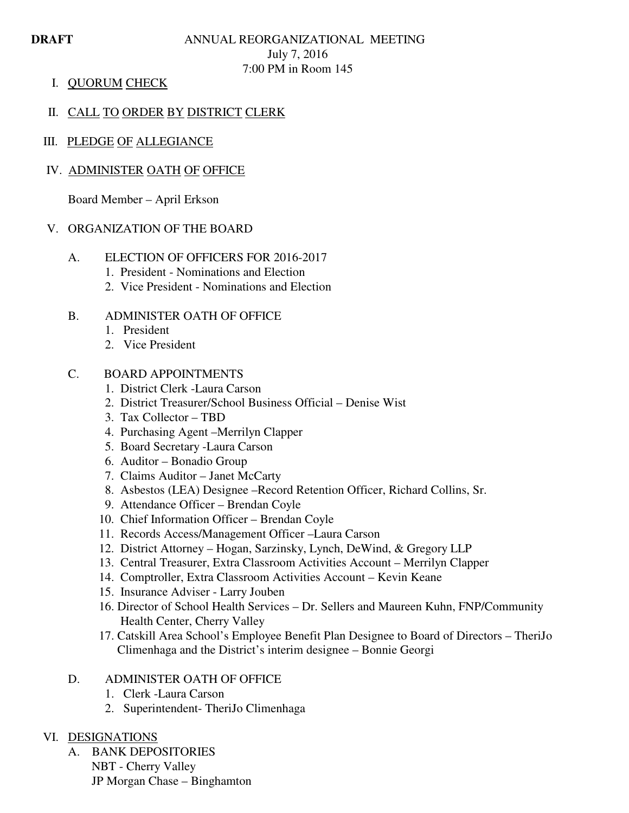# **DRAFT ANNUAL REORGANIZATIONAL MEETING** July 7, 2016 7:00 PM in Room 145

I. QUORUM CHECK

# II. CALL TO ORDER BY DISTRICT CLERK

III. PLEDGE OF ALLEGIANCE

# IV. ADMINISTER OATH OF OFFICE

Board Member – April Erkson

## V. ORGANIZATION OF THE BOARD

- A. ELECTION OF OFFICERS FOR 2016-2017
	- 1. President Nominations and Election
	- 2. Vice President Nominations and Election

## B. ADMINISTER OATH OF OFFICE

- 1. President
- 2. Vice President

## C. BOARD APPOINTMENTS

- 1. District Clerk -Laura Carson
- 2. District Treasurer/School Business Official Denise Wist
- 3. Tax Collector TBD
- 4. Purchasing Agent –Merrilyn Clapper
- 5. Board Secretary -Laura Carson
- 6. Auditor Bonadio Group
- 7. Claims Auditor Janet McCarty
- 8. Asbestos (LEA) Designee –Record Retention Officer, Richard Collins, Sr.
- 9. Attendance Officer Brendan Coyle
- 10. Chief Information Officer Brendan Coyle
- 11. Records Access/Management Officer –Laura Carson
- 12. District Attorney Hogan, Sarzinsky, Lynch, DeWind, & Gregory LLP
- 13. Central Treasurer, Extra Classroom Activities Account Merrilyn Clapper
- 14. Comptroller, Extra Classroom Activities Account Kevin Keane
- 15. Insurance Adviser Larry Jouben
- 16. Director of School Health Services Dr. Sellers and Maureen Kuhn, FNP/Community Health Center, Cherry Valley
- 17. Catskill Area School's Employee Benefit Plan Designee to Board of Directors TheriJo Climenhaga and the District's interim designee – Bonnie Georgi

# D. ADMINISTER OATH OF OFFICE

- 1. Clerk -Laura Carson
- 2. Superintendent- TheriJo Climenhaga

## VI. DESIGNATIONS

A. BANK DEPOSITORIES NBT - Cherry Valley JP Morgan Chase – Binghamton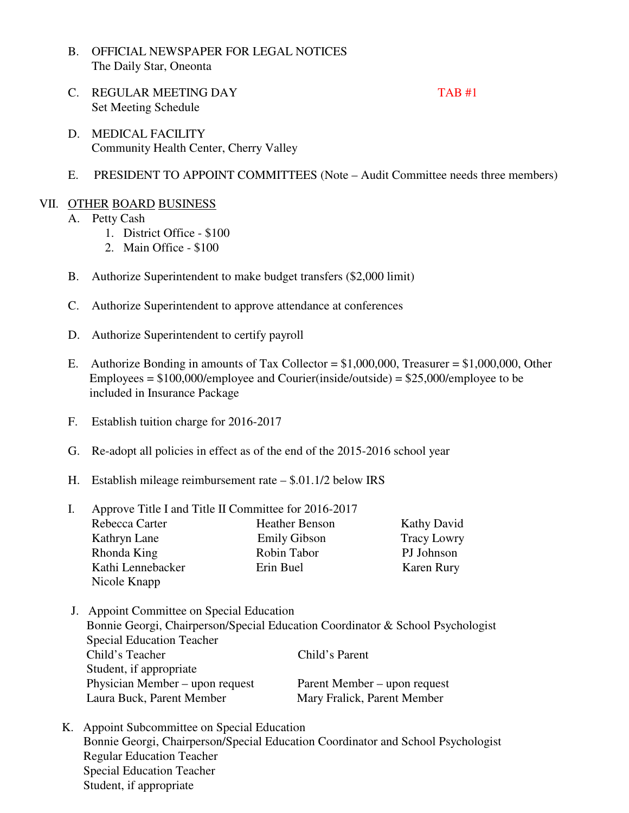- B. OFFICIAL NEWSPAPER FOR LEGAL NOTICES The Daily Star, Oneonta
- C. REGULAR MEETING DAY TAB #1 Set Meeting Schedule

- D. MEDICAL FACILITY Community Health Center, Cherry Valley
- E. PRESIDENT TO APPOINT COMMITTEES (Note Audit Committee needs three members)

# VII. OTHER BOARD BUSINESS

- A. Petty Cash
	- 1. District Office \$100
		- 2. Main Office \$100
- B. Authorize Superintendent to make budget transfers (\$2,000 limit)
- C. Authorize Superintendent to approve attendance at conferences
- D. Authorize Superintendent to certify payroll
- E. Authorize Bonding in amounts of Tax Collector = \$1,000,000, Treasurer = \$1,000,000, Other Employees =  $$100,000$ /employee and Courier(inside/outside) =  $$25,000$ /employee to be included in Insurance Package
- F. Establish tuition charge for 2016-2017
- G. Re-adopt all policies in effect as of the end of the 2015-2016 school year
- H. Establish mileage reimbursement rate \$.01.1/2 below IRS

| Approve Title I and Title II Committee for 2016-2017 |                       |                    |  |
|------------------------------------------------------|-----------------------|--------------------|--|
| Rebecca Carter                                       | <b>Heather Benson</b> | <b>Kathy David</b> |  |
| Kathryn Lane                                         | <b>Emily Gibson</b>   | <b>Tracy Lowry</b> |  |
| Rhonda King                                          | Robin Tabor           | PJ Johnson         |  |
| Kathi Lennebacker<br>Nicole Knapp                    | Erin Buel             | Karen Rury         |  |

- J. Appoint Committee on Special Education Bonnie Georgi, Chairperson/Special Education Coordinator & School Psychologist Special Education Teacher Child's Teacher Child's Parent Student, if appropriate Physician Member – upon request Parent Member – upon request Laura Buck, Parent Member Mary Fralick, Parent Member
- K. Appoint Subcommittee on Special Education Bonnie Georgi, Chairperson/Special Education Coordinator and School Psychologist Regular Education Teacher Special Education Teacher Student, if appropriate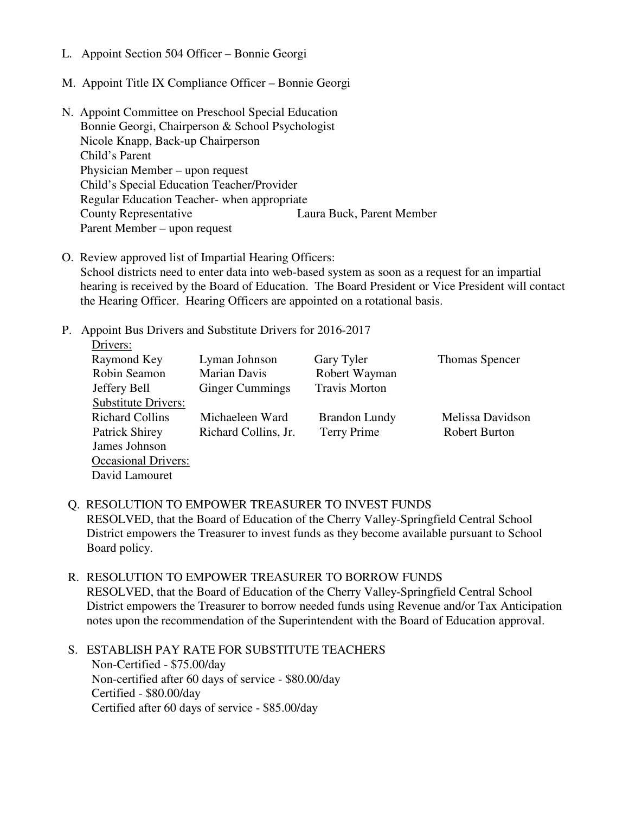- L. Appoint Section 504 Officer Bonnie Georgi
- M. Appoint Title IX Compliance Officer Bonnie Georgi
- N. Appoint Committee on Preschool Special Education Bonnie Georgi, Chairperson & School Psychologist Nicole Knapp, Back-up Chairperson Child's Parent Physician Member – upon request Child's Special Education Teacher/Provider Regular Education Teacher- when appropriate County Representative Laura Buck, Parent Member Parent Member – upon request
- O. Review approved list of Impartial Hearing Officers: School districts need to enter data into web-based system as soon as a request for an impartial hearing is received by the Board of Education. The Board President or Vice President will contact the Hearing Officer. Hearing Officers are appointed on a rotational basis.
- P. Appoint Bus Drivers and Substitute Drivers for 2016-2017

| Drivers:                   |                        |                      |                      |
|----------------------------|------------------------|----------------------|----------------------|
| Raymond Key                | Lyman Johnson          | Gary Tyler           | Thomas Spencer       |
| Robin Seamon               | <b>Marian Davis</b>    | Robert Wayman        |                      |
| Jeffery Bell               | <b>Ginger Cummings</b> | <b>Travis Morton</b> |                      |
| <b>Substitute Drivers:</b> |                        |                      |                      |
| <b>Richard Collins</b>     | Michaeleen Ward        | <b>Brandon Lundy</b> | Melissa Davidson     |
| <b>Patrick Shirey</b>      | Richard Collins, Jr.   | Terry Prime          | <b>Robert Burton</b> |
| James Johnson              |                        |                      |                      |
| <b>Occasional Drivers:</b> |                        |                      |                      |
| David Lamouret             |                        |                      |                      |

- Q. RESOLUTION TO EMPOWER TREASURER TO INVEST FUNDS RESOLVED, that the Board of Education of the Cherry Valley-Springfield Central School District empowers the Treasurer to invest funds as they become available pursuant to School Board policy.
- R. RESOLUTION TO EMPOWER TREASURER TO BORROW FUNDS RESOLVED, that the Board of Education of the Cherry Valley-Springfield Central School District empowers the Treasurer to borrow needed funds using Revenue and/or Tax Anticipation notes upon the recommendation of the Superintendent with the Board of Education approval.
- S. ESTABLISH PAY RATE FOR SUBSTITUTE TEACHERS Non-Certified - \$75.00/day Non-certified after 60 days of service - \$80.00/day Certified - \$80.00/day Certified after 60 days of service - \$85.00/day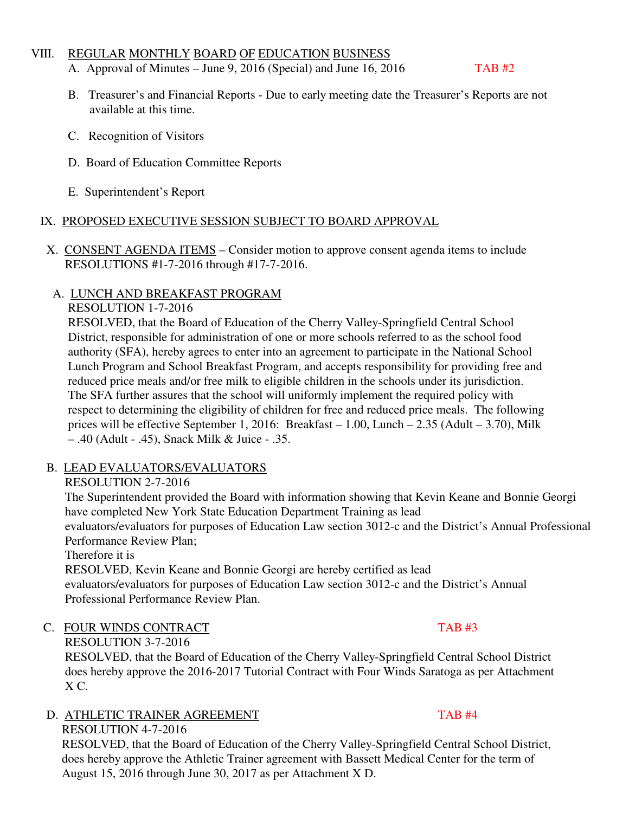### VIII. REGULAR MONTHLY BOARD OF EDUCATION BUSINESS

- A. Approval of Minutes June 9, 2016 (Special) and June 16, 2016 TAB  $#2$
- B. Treasurer's and Financial Reports Due to early meeting date the Treasurer's Reports are not available at this time.
- C. Recognition of Visitors
- D. Board of Education Committee Reports
- E. Superintendent's Report

## IX. PROPOSED EXECUTIVE SESSION SUBJECT TO BOARD APPROVAL

 X. CONSENT AGENDA ITEMS – Consider motion to approve consent agenda items to include RESOLUTIONS #1-7-2016 through #17-7-2016.

# A. LUNCH AND BREAKFAST PROGRAM

## RESOLUTION 1-7-2016

RESOLVED, that the Board of Education of the Cherry Valley-Springfield Central School District, responsible for administration of one or more schools referred to as the school food authority (SFA), hereby agrees to enter into an agreement to participate in the National School Lunch Program and School Breakfast Program, and accepts responsibility for providing free and reduced price meals and/or free milk to eligible children in the schools under its jurisdiction. The SFA further assures that the school will uniformly implement the required policy with respect to determining the eligibility of children for free and reduced price meals. The following prices will be effective September 1, 2016: Breakfast – 1.00, Lunch – 2.35 (Adult – 3.70), Milk – .40 (Adult - .45), Snack Milk & Juice - .35.

# B. LEAD EVALUATORS/EVALUATORS

# RESOLUTION 2-7-2016

 The Superintendent provided the Board with information showing that Kevin Keane and Bonnie Georgi have completed New York State Education Department Training as lead evaluators/evaluators for purposes of Education Law section 3012-c and the District's Annual Professional

Performance Review Plan;

Therefore it is

 RESOLVED, Kevin Keane and Bonnie Georgi are hereby certified as lead evaluators/evaluators for purposes of Education Law section 3012-c and the District's Annual Professional Performance Review Plan.

# C. FOUR WINDS CONTRACT TAB #3

RESOLUTION 3-7-2016

 RESOLVED, that the Board of Education of the Cherry Valley-Springfield Central School District does hereby approve the 2016-2017 Tutorial Contract with Four Winds Saratoga as per Attachment  $X C$ .

# D. ATHLETIC TRAINER AGREEMENT TAB #4

 RESOLUTION 4-7-2016 RESOLVED, that the Board of Education of the Cherry Valley-Springfield Central School District, does hereby approve the Athletic Trainer agreement with Bassett Medical Center for the term of August 15, 2016 through June 30, 2017 as per Attachment X D.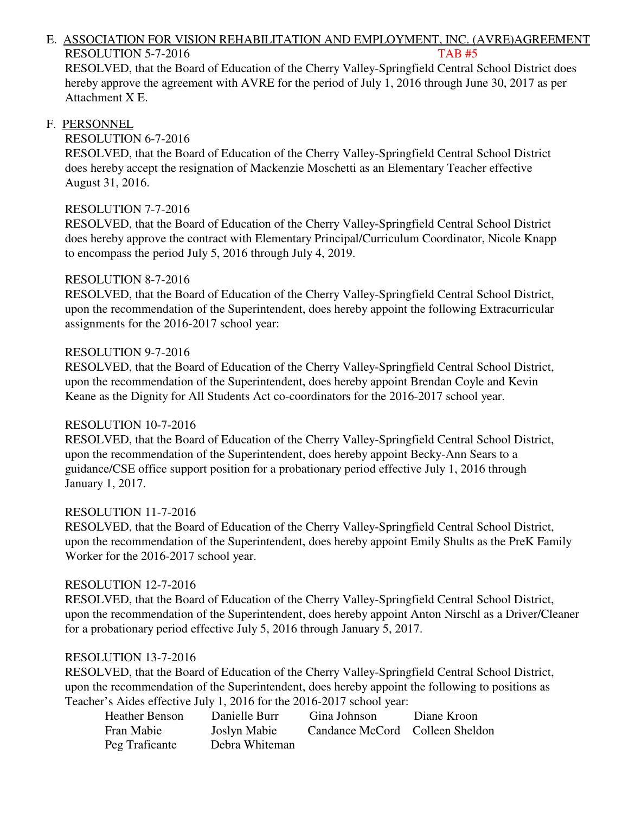# E. ASSOCIATION FOR VISION REHABILITATION AND EMPLOYMENT, INC. (AVRE)AGREEMENT RESOLUTION 5-7-2016 TAB #5

 RESOLVED, that the Board of Education of the Cherry Valley-Springfield Central School District does hereby approve the agreement with AVRE for the period of July 1, 2016 through June 30, 2017 as per Attachment X E.

#### F. PERSONNEL

### RESOLUTION 6-7-2016

 RESOLVED, that the Board of Education of the Cherry Valley-Springfield Central School District does hereby accept the resignation of Mackenzie Moschetti as an Elementary Teacher effective August 31, 2016.

### RESOLUTION 7-7-2016

 RESOLVED, that the Board of Education of the Cherry Valley-Springfield Central School District does hereby approve the contract with Elementary Principal/Curriculum Coordinator, Nicole Knapp to encompass the period July 5, 2016 through July 4, 2019.

### RESOLUTION 8-7-2016

 RESOLVED, that the Board of Education of the Cherry Valley-Springfield Central School District, upon the recommendation of the Superintendent, does hereby appoint the following Extracurricular assignments for the 2016-2017 school year:

### RESOLUTION 9-7-2016

 RESOLVED, that the Board of Education of the Cherry Valley-Springfield Central School District, upon the recommendation of the Superintendent, does hereby appoint Brendan Coyle and Kevin Keane as the Dignity for All Students Act co-coordinators for the 2016-2017 school year.

#### RESOLUTION 10-7-2016

 RESOLVED, that the Board of Education of the Cherry Valley-Springfield Central School District, upon the recommendation of the Superintendent, does hereby appoint Becky-Ann Sears to a guidance/CSE office support position for a probationary period effective July 1, 2016 through January 1, 2017.

#### RESOLUTION 11-7-2016

 RESOLVED, that the Board of Education of the Cherry Valley-Springfield Central School District, upon the recommendation of the Superintendent, does hereby appoint Emily Shults as the PreK Family Worker for the 2016-2017 school year.

#### RESOLUTION 12-7-2016

 RESOLVED, that the Board of Education of the Cherry Valley-Springfield Central School District, upon the recommendation of the Superintendent, does hereby appoint Anton Nirschl as a Driver/Cleaner for a probationary period effective July 5, 2016 through January 5, 2017.

## RESOLUTION 13-7-2016

 RESOLVED, that the Board of Education of the Cherry Valley-Springfield Central School District, upon the recommendation of the Superintendent, does hereby appoint the following to positions as Teacher's Aides effective July 1, 2016 for the 2016-2017 school year:

| Heather Benson | Danielle Burr  | Gina Johnson                    | Diane Kroon |
|----------------|----------------|---------------------------------|-------------|
| Fran Mabie     | Joslyn Mabie   | Candance McCord Colleen Sheldon |             |
| Peg Traficante | Debra Whiteman |                                 |             |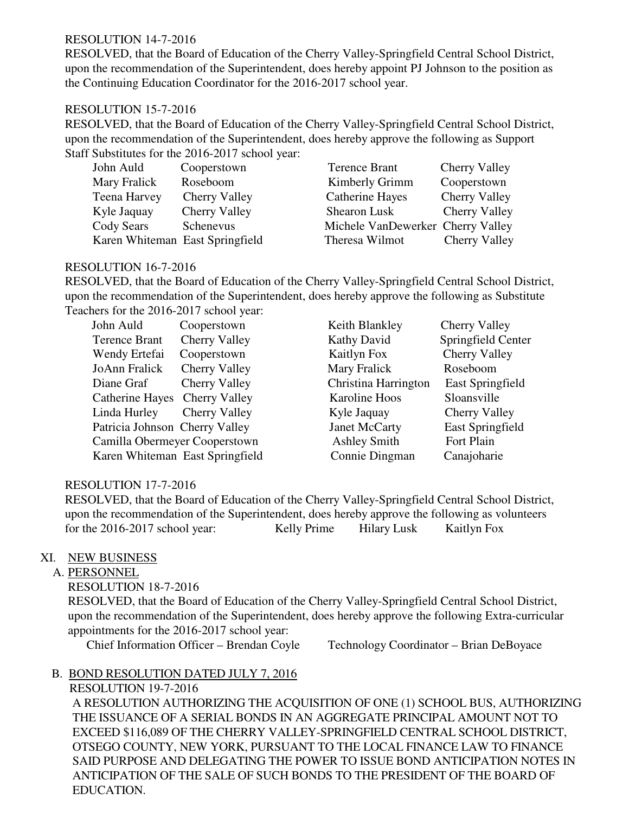### RESOLUTION 14-7-2016

 RESOLVED, that the Board of Education of the Cherry Valley-Springfield Central School District, upon the recommendation of the Superintendent, does hereby appoint PJ Johnson to the position as the Continuing Education Coordinator for the 2016-2017 school year.

#### RESOLUTION 15-7-2016

RESOLVED, that the Board of Education of the Cherry Valley-Springfield Central School District, upon the recommendation of the Superintendent, does hereby approve the following as Support Staff Substitutes for the 2016-2017 school year:

| John Auld                       | Cooperstown          | Terence Brant                     | <b>Cherry Valley</b> |
|---------------------------------|----------------------|-----------------------------------|----------------------|
| Mary Fralick                    | Roseboom             | Kimberly Grimm                    | Cooperstown          |
| Teena Harvey                    | <b>Cherry Valley</b> | Catherine Hayes                   | <b>Cherry Valley</b> |
| Kyle Jaquay                     | <b>Cherry Valley</b> | Shearon Lusk                      | Cherry Valley        |
| Cody Sears                      | Schenevus            | Michele VanDewerker Cherry Valley |                      |
| Karen Whiteman East Springfield |                      | Theresa Wilmot                    | <b>Cherry Valley</b> |

#### RESOLUTION 16-7-2016

RESOLVED, that the Board of Education of the Cherry Valley-Springfield Central School District, upon the recommendation of the Superintendent, does hereby approve the following as Substitute Teachers for the 2016-2017 school year:

| John Auld            | Cooperstown                     | Keith Blankley       | <b>Cherry Valley</b>    |
|----------------------|---------------------------------|----------------------|-------------------------|
| <b>Terence Brant</b> | Cherry Valley                   | Kathy David          | Springfield Center      |
| Wendy Ertefai        | Cooperstown                     | Kaitlyn Fox          | <b>Cherry Valley</b>    |
| JoAnn Fralick        | Cherry Valley                   | Mary Fralick         | Roseboom                |
| Diane Graf           | Cherry Valley                   | Christina Harrington | <b>East Springfield</b> |
|                      | Catherine Hayes Cherry Valley   | Karoline Hoos        | Sloansville             |
| Linda Hurley         | Cherry Valley                   | Kyle Jaquay          | Cherry Valley           |
|                      | Patricia Johnson Cherry Valley  | Janet McCarty        | <b>East Springfield</b> |
|                      | Camilla Obermeyer Cooperstown   | <b>Ashley Smith</b>  | Fort Plain              |
|                      | Karen Whiteman East Springfield | Connie Dingman       | Canajoharie             |

#### RESOLUTION 17-7-2016

 RESOLVED, that the Board of Education of the Cherry Valley-Springfield Central School District, upon the recommendation of the Superintendent, does hereby approve the following as volunteers for the 2016-2017 school year: Kelly Prime Hilary Lusk Kaitlyn Fox

## XI. NEW BUSINESS

## A. PERSONNEL

RESOLUTION 18-7-2016

 RESOLVED, that the Board of Education of the Cherry Valley-Springfield Central School District, upon the recommendation of the Superintendent, does hereby approve the following Extra-curricular appointments for the 2016-2017 school year:

Chief Information Officer – Brendan Coyle Technology Coordinator – Brian DeBoyace

## B. BOND RESOLUTION DATED JULY 7, 2016

 RESOLUTION 19-7-2016 A RESOLUTION AUTHORIZING THE ACQUISITION OF ONE (1) SCHOOL BUS, AUTHORIZING THE ISSUANCE OF A SERIAL BONDS IN AN AGGREGATE PRINCIPAL AMOUNT NOT TO EXCEED \$116,089 OF THE CHERRY VALLEY-SPRINGFIELD CENTRAL SCHOOL DISTRICT, OTSEGO COUNTY, NEW YORK, PURSUANT TO THE LOCAL FINANCE LAW TO FINANCE SAID PURPOSE AND DELEGATING THE POWER TO ISSUE BOND ANTICIPATION NOTES IN ANTICIPATION OF THE SALE OF SUCH BONDS TO THE PRESIDENT OF THE BOARD OF EDUCATION.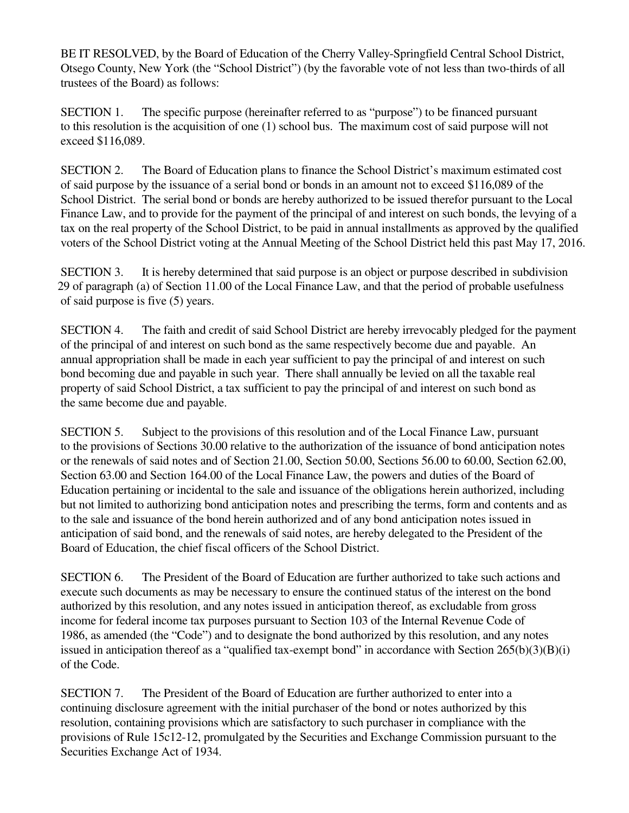BE IT RESOLVED, by the Board of Education of the Cherry Valley-Springfield Central School District, Otsego County, New York (the "School District") (by the favorable vote of not less than two-thirds of all trustees of the Board) as follows:

 SECTION 1. The specific purpose (hereinafter referred to as "purpose") to be financed pursuant to this resolution is the acquisition of one (1) school bus. The maximum cost of said purpose will not exceed \$116,089.

 SECTION 2. The Board of Education plans to finance the School District's maximum estimated cost of said purpose by the issuance of a serial bond or bonds in an amount not to exceed \$116,089 of the School District. The serial bond or bonds are hereby authorized to be issued therefor pursuant to the Local Finance Law, and to provide for the payment of the principal of and interest on such bonds, the levying of a tax on the real property of the School District, to be paid in annual installments as approved by the qualified voters of the School District voting at the Annual Meeting of the School District held this past May 17, 2016.

 SECTION 3. It is hereby determined that said purpose is an object or purpose described in subdivision 29 of paragraph (a) of Section 11.00 of the Local Finance Law, and that the period of probable usefulness of said purpose is five (5) years.

 SECTION 4. The faith and credit of said School District are hereby irrevocably pledged for the payment of the principal of and interest on such bond as the same respectively become due and payable. An annual appropriation shall be made in each year sufficient to pay the principal of and interest on such bond becoming due and payable in such year. There shall annually be levied on all the taxable real property of said School District, a tax sufficient to pay the principal of and interest on such bond as the same become due and payable.

 SECTION 5. Subject to the provisions of this resolution and of the Local Finance Law, pursuant to the provisions of Sections 30.00 relative to the authorization of the issuance of bond anticipation notes or the renewals of said notes and of Section 21.00, Section 50.00, Sections 56.00 to 60.00, Section 62.00, Section 63.00 and Section 164.00 of the Local Finance Law, the powers and duties of the Board of Education pertaining or incidental to the sale and issuance of the obligations herein authorized, including but not limited to authorizing bond anticipation notes and prescribing the terms, form and contents and as to the sale and issuance of the bond herein authorized and of any bond anticipation notes issued in anticipation of said bond, and the renewals of said notes, are hereby delegated to the President of the Board of Education, the chief fiscal officers of the School District.

 SECTION 6. The President of the Board of Education are further authorized to take such actions and execute such documents as may be necessary to ensure the continued status of the interest on the bond authorized by this resolution, and any notes issued in anticipation thereof, as excludable from gross income for federal income tax purposes pursuant to Section 103 of the Internal Revenue Code of 1986, as amended (the "Code") and to designate the bond authorized by this resolution, and any notes issued in anticipation thereof as a "qualified tax-exempt bond" in accordance with Section  $265(b)(3)(B)(i)$ of the Code.

 SECTION 7. The President of the Board of Education are further authorized to enter into a continuing disclosure agreement with the initial purchaser of the bond or notes authorized by this resolution, containing provisions which are satisfactory to such purchaser in compliance with the provisions of Rule 15c12-12, promulgated by the Securities and Exchange Commission pursuant to the Securities Exchange Act of 1934.